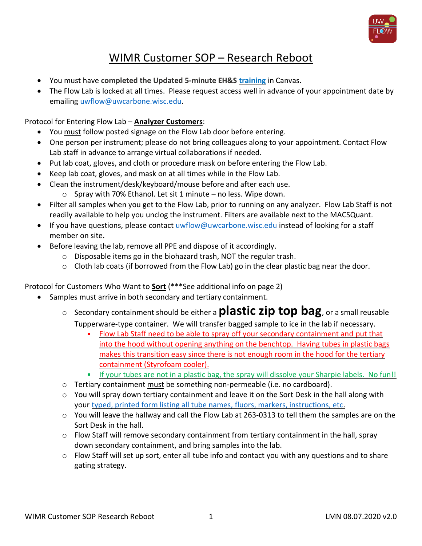

## WIMR Customer SOP – Research Reboot

- You must have **completed the Updated 5-minute EH&S [training](https://hr.wisc.edu/covid19/workplace-training/)** in Canvas.
- The Flow Lab is locked at all times. Please request access well in advance of your appointment date by emailing [uwflow@uwcarbone.wisc.edu.](mailto:uwflow@uwcarbone.wisc.edu)

Protocol for Entering Flow Lab – **Analyzer Customers**:

- You must follow posted signage on the Flow Lab door before entering.
- One person per instrument; please do not bring colleagues along to your appointment. Contact Flow Lab staff in advance to arrange virtual collaborations if needed.
- Put lab coat, gloves, and cloth or procedure mask on before entering the Flow Lab.
- Keep lab coat, gloves, and mask on at all times while in the Flow Lab.
- Clean the instrument/desk/keyboard/mouse before and after each use.
	- $\circ$  Spray with 70% Ethanol. Let sit 1 minute no less. Wipe down.
- Filter all samples when you get to the Flow Lab, prior to running on any analyzer. Flow Lab Staff is not readily available to help you unclog the instrument. Filters are available next to the MACSQuant.
- If you have questions, please contact [uwflow@uwcarbone.wisc.edu](mailto:uwflow@uwcarbone.wisc.edu) instead of looking for a staff member on site.
- Before leaving the lab, remove all PPE and dispose of it accordingly.
	- o Disposable items go in the biohazard trash, NOT the regular trash.
	- o Cloth lab coats (if borrowed from the Flow Lab) go in the clear plastic bag near the door.

Protocol for Customers Who Want to **Sort** (\*\*\*See additional info on page 2)

- Samples must arrive in both secondary and tertiary containment.
	- <sup>o</sup> Secondary containment should be either a **plastic zip top bag**, or a small reusable Tupperware-type container. We will transfer bagged sample to ice in the lab if necessary.
		- $\mathbf{u}$ Flow Lab Staff need to be able to spray off your secondary containment and put that into the hood without opening anything on the benchtop. Having tubes in plastic bags makes this transition easy since there is not enough room in the hood for the tertiary containment (Styrofoam cooler).
		- a. If your tubes are not in a plastic bag, the spray will dissolve your Sharpie labels. No fun!!
	- o Tertiary containment must be something non-permeable (i.e. no cardboard).
	- $\circ$  You will spray down tertiary containment and leave it on the Sort Desk in the hall along with your [typed, printed form listing all tube names, fluors, markers, instructions, etc.](https://drive.google.com/file/d/1QpjgYx1mi1nsNzb0TUxUCJKbewnEfeoz/view?usp=sharing)
	- $\circ$  You will leave the hallway and call the Flow Lab at 263-0313 to tell them the samples are on the Sort Desk in the hall.
	- $\circ$  Flow Staff will remove secondary containment from tertiary containment in the hall, spray down secondary containment, and bring samples into the lab.
	- $\circ$  Flow Staff will set up sort, enter all tube info and contact you with any questions and to share gating strategy.